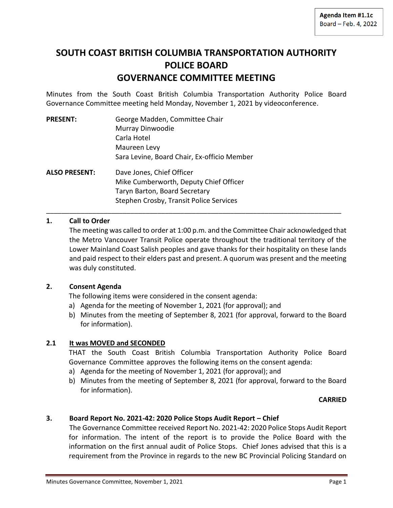# **SOUTH COAST BRITISH COLUMBIA TRANSPORTATION AUTHORITY POLICE BOARD GOVERNANCE COMMITTEE MEETING**

Minutes from the South Coast British Columbia Transportation Authority Police Board Governance Committee meeting held Monday, November 1, 2021 by videoconference.

| <b>PRESENT:</b> | George Madden, Committee Chair              |
|-----------------|---------------------------------------------|
|                 | Murray Dinwoodie                            |
|                 | Carla Hotel                                 |
|                 | Maureen Levy                                |
|                 | Sara Levine, Board Chair, Ex-officio Member |
| ALSO PRESENT:   | Dave Jones, Chief Officer                   |
|                 | Mike Cumberworth, Deputy Chief Officer      |
|                 | Taryn Barton, Board Secretary               |
|                 | Stephen Crosby, Transit Police Services     |

## **1. Call to Order**

The meeting was called to order at 1:00 p.m. and the Committee Chair acknowledged that the Metro Vancouver Transit Police operate throughout the traditional territory of the Lower Mainland Coast Salish peoples and gave thanks for their hospitality on these lands and paid respect to their elders past and present. A quorum was present and the meeting was duly constituted.

\_\_\_\_\_\_\_\_\_\_\_\_\_\_\_\_\_\_\_\_\_\_\_\_\_\_\_\_\_\_\_\_\_\_\_\_\_\_\_\_\_\_\_\_\_\_\_\_\_\_\_\_\_\_\_\_\_\_\_\_\_\_\_\_\_\_\_\_\_\_\_\_\_\_\_\_\_

#### **2. Consent Agenda**

The following items were considered in the consent agenda:

- a) Agenda for the meeting of November 1, 2021 (for approval); and
- b) Minutes from the meeting of September 8, 2021 (for approval, forward to the Board for information).

#### **2.1 It was MOVED and SECONDED**

THAT the South Coast British Columbia Transportation Authority Police Board Governance Committee approves the following items on the consent agenda:

- a) Agenda for the meeting of November 1, 2021 (for approval); and
- b) Minutes from the meeting of September 8, 2021 (for approval, forward to the Board for information).

#### **CARRIED**

#### **3. Board Report No. 2021-42: 2020 Police Stops Audit Report – Chief**

The Governance Committee received Report No. 2021-42: 2020 Police Stops Audit Report for information. The intent of the report is to provide the Police Board with the information on the first annual audit of Police Stops. Chief Jones advised that this is a requirement from the Province in regards to the new BC Provincial Policing Standard on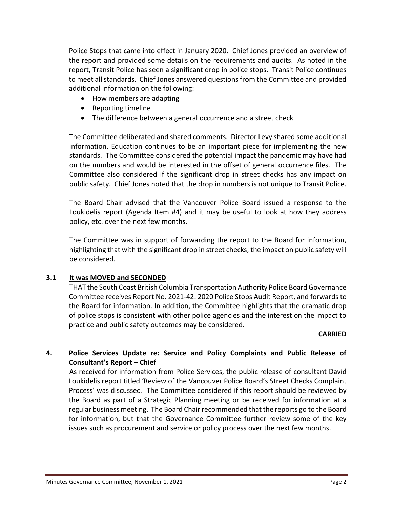Police Stops that came into effect in January 2020. Chief Jones provided an overview of the report and provided some details on the requirements and audits. As noted in the report, Transit Police has seen a significant drop in police stops. Transit Police continues to meet all standards. Chief Jones answered questions from the Committee and provided additional information on the following:

- How members are adapting
- Reporting timeline
- The difference between a general occurrence and a street check

The Committee deliberated and shared comments. Director Levy shared some additional information. Education continues to be an important piece for implementing the new standards. The Committee considered the potential impact the pandemic may have had on the numbers and would be interested in the offset of general occurrence files. The Committee also considered if the significant drop in street checks has any impact on public safety. Chief Jones noted that the drop in numbers is not unique to Transit Police.

The Board Chair advised that the Vancouver Police Board issued a response to the Loukidelis report (Agenda Item #4) and it may be useful to look at how they address policy, etc. over the next few months.

The Committee was in support of forwarding the report to the Board for information, highlighting that with the significant drop in street checks, the impact on public safety will be considered.

## **3.1 It was MOVED and SECONDED**

THAT the South Coast British Columbia Transportation Authority Police Board Governance Committee receives Report No. 2021-42: 2020 Police Stops Audit Report, and forwards to the Board for information. In addition, the Committee highlights that the dramatic drop of police stops is consistent with other police agencies and the interest on the impact to practice and public safety outcomes may be considered.

#### **CARRIED**

## **4. Police Services Update re: Service and Policy Complaints and Public Release of Consultant's Report – Chief**

As received for information from Police Services, the public release of consultant David Loukidelis report titled 'Review of the Vancouver Police Board's Street Checks Complaint Process' was discussed. The Committee considered if this report should be reviewed by the Board as part of a Strategic Planning meeting or be received for information at a regular business meeting. The Board Chair recommended that the reports go to the Board for information, but that the Governance Committee further review some of the key issues such as procurement and service or policy process over the next few months.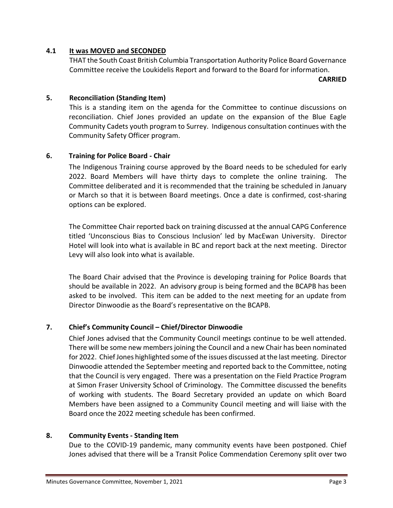## **4.1 It was MOVED and SECONDED**

THAT the South Coast British Columbia Transportation Authority Police Board Governance Committee receive the Loukidelis Report and forward to the Board for information.

**CARRIED**

## **5. Reconciliation (Standing Item)**

This is a standing item on the agenda for the Committee to continue discussions on reconciliation. Chief Jones provided an update on the expansion of the Blue Eagle Community Cadets youth program to Surrey. Indigenous consultation continues with the Community Safety Officer program.

## **6. Training for Police Board - Chair**

The Indigenous Training course approved by the Board needs to be scheduled for early 2022. Board Members will have thirty days to complete the online training. The Committee deliberated and it is recommended that the training be scheduled in January or March so that it is between Board meetings. Once a date is confirmed, cost-sharing options can be explored.

The Committee Chair reported back on training discussed at the annual CAPG Conference titled 'Unconscious Bias to Conscious Inclusion' led by MacEwan University. Director Hotel will look into what is available in BC and report back at the next meeting. Director Levy will also look into what is available.

The Board Chair advised that the Province is developing training for Police Boards that should be available in 2022. An advisory group is being formed and the BCAPB has been asked to be involved. This item can be added to the next meeting for an update from Director Dinwoodie as the Board's representative on the BCAPB.

## **7. Chief's Community Council – Chief/Director Dinwoodie**

Chief Jones advised that the Community Council meetings continue to be well attended. There will be some new membersjoining the Council and a new Chair has been nominated for 2022. Chief Jones highlighted some of the issues discussed at the last meeting. Director Dinwoodie attended the September meeting and reported back to the Committee, noting that the Council is very engaged. There was a presentation on the Field Practice Program at Simon Fraser University School of Criminology. The Committee discussed the benefits of working with students. The Board Secretary provided an update on which Board Members have been assigned to a Community Council meeting and will liaise with the Board once the 2022 meeting schedule has been confirmed.

#### **8. Community Events - Standing Item**

Due to the COVID-19 pandemic, many community events have been postponed. Chief Jones advised that there will be a Transit Police Commendation Ceremony split over two